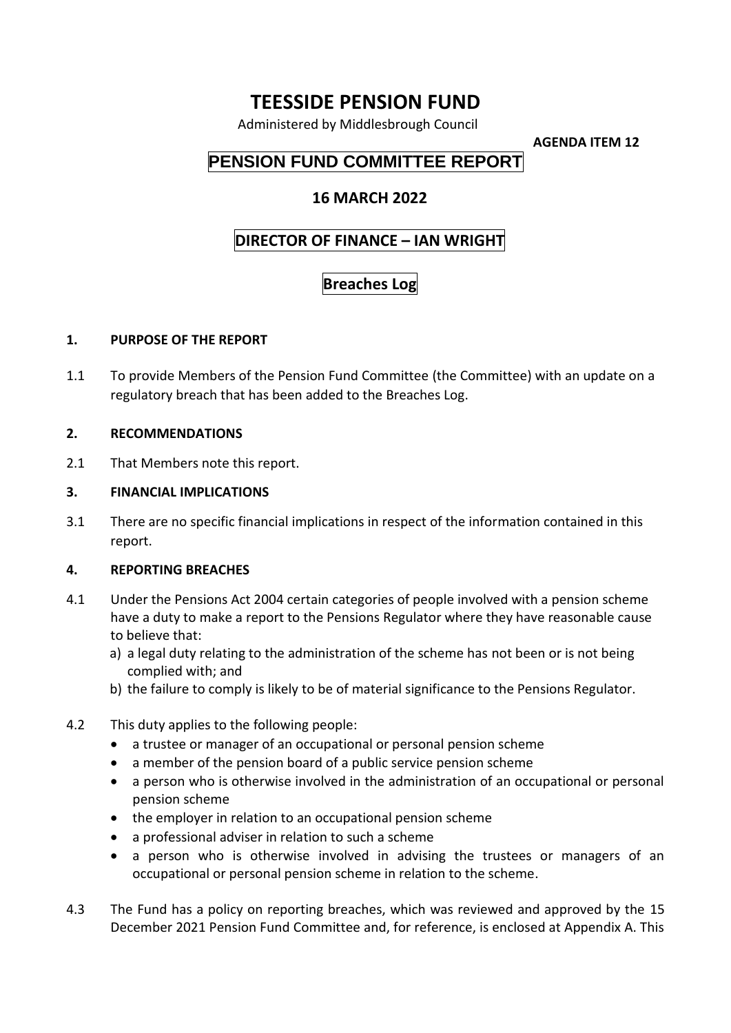# **TEESSIDE PENSION FUND**

Administered by Middlesbrough Council

**AGENDA ITEM 12**

## **PENSION FUND COMMITTEE REPORT**

### **16 MARCH 2022**

### **DIRECTOR OF FINANCE – IAN WRIGHT**

## **Breaches Log**

#### **1. PURPOSE OF THE REPORT**

1.1 To provide Members of the Pension Fund Committee (the Committee) with an update on a regulatory breach that has been added to the Breaches Log.

#### **2. RECOMMENDATIONS**

2.1 That Members note this report.

#### **3. FINANCIAL IMPLICATIONS**

3.1 There are no specific financial implications in respect of the information contained in this report.

#### **4. REPORTING BREACHES**

- 4.1 Under the Pensions Act 2004 certain categories of people involved with a pension scheme have a duty to make a report to the Pensions Regulator where they have reasonable cause to believe that:
	- a) a legal duty relating to the administration of the scheme has not been or is not being complied with; and
	- b) the failure to comply is likely to be of material significance to the Pensions Regulator.
- 4.2 This duty applies to the following people:
	- a trustee or manager of an occupational or personal pension scheme
	- a member of the pension board of a public service pension scheme
	- a person who is otherwise involved in the administration of an occupational or personal pension scheme
	- the employer in relation to an occupational pension scheme
	- a professional adviser in relation to such a scheme
	- a person who is otherwise involved in advising the trustees or managers of an occupational or personal pension scheme in relation to the scheme.
- 4.3 The Fund has a policy on reporting breaches, which was reviewed and approved by the 15 December 2021 Pension Fund Committee and, for reference, is enclosed at Appendix A. This